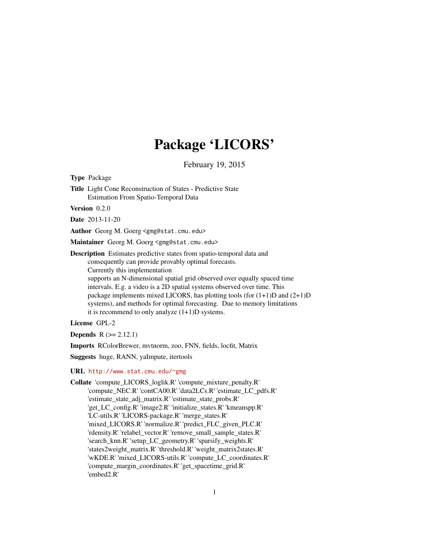## Package 'LICORS'

February 19, 2015

<span id="page-0-0"></span>Type Package

Title Light Cone Reconstruction of States - Predictive State Estimation From Spatio-Temporal Data

Version 0.2.0

Date 2013-11-20

Author Georg M. Goerg <gmg@stat.cmu.edu>

Maintainer Georg M. Goerg <gmg@stat.cmu.edu>

Description Estimates predictive states from spatio-temporal data and consequently can provide provably optimal forecasts. Currently this implementation supports an N-dimensional spatial grid observed over equally spaced time intervals. E.g. a video is a 2D spatial systems observed over time. This

package implements mixed LICORS, has plotting tools (for  $(1+1)D$  and  $(2+1)D$ ) systems), and methods for optimal forecasting. Due to memory limitations it is recommend to only analyze (1+1)D systems.

License GPL-2

**Depends**  $R$  ( $>= 2.12.1$ )

Imports RColorBrewer, mvtnorm, zoo, FNN, fields, locfit, Matrix

Suggests huge, RANN, yaImpute, itertools

#### URL <http://www.stat.cmu.edu/~gmg>

Collate 'compute\_LICORS\_loglik.R' 'compute\_mixture\_penalty.R' 'compute\_NEC.R' 'contCA00.R' 'data2LCs.R' 'estimate\_LC\_pdfs.R' 'estimate\_state\_adj\_matrix.R' 'estimate\_state\_probs.R' 'get\_LC\_config.R' 'image2.R' 'initialize\_states.R' 'kmeanspp.R' 'LC-utils.R' 'LICORS-package.R' 'merge\_states.R' 'mixed\_LICORS.R' 'normalize.R' 'predict\_FLC\_given\_PLC.R' 'rdensity.R' 'relabel\_vector.R' 'remove\_small\_sample\_states.R' 'search\_knn.R' 'setup\_LC\_geometry.R' 'sparsify\_weights.R' 'states2weight\_matrix.R' 'threshold.R' 'weight\_matrix2states.R' 'wKDE.R' 'mixed\_LICORS-utils.R' 'compute\_LC\_coordinates.R' 'compute\_margin\_coordinates.R' 'get\_spacetime\_grid.R' 'embed2.R'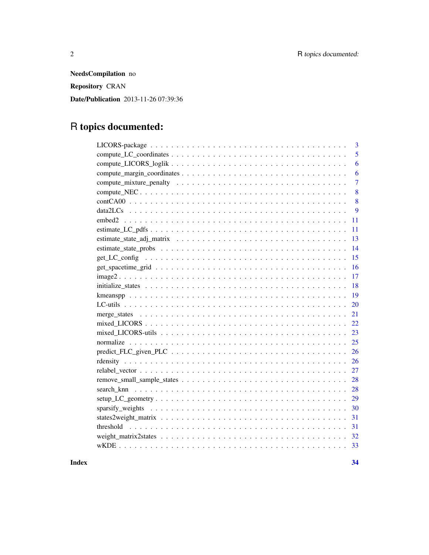NeedsCompilation no Repository CRAN Date/Publication 2013-11-26 07:39:36

## R topics documented:

| 3              |
|----------------|
| 5              |
| 6              |
| 6              |
| $\overline{7}$ |
| 8              |
| 8              |
| 9              |
| 11             |
| 11             |
| 13             |
| 14             |
| 15             |
| 16             |
| 17<br>$image2$ |
| 18             |
| 19             |
| 20             |
| 21             |
| 22             |
| 23             |
| 25             |
| 26             |
| 26             |
| 27             |
| 28             |
| 28             |
| 29             |
| 30             |
| 31             |
| 31             |
|                |
|                |
|                |

**Index** [34](#page-33-0)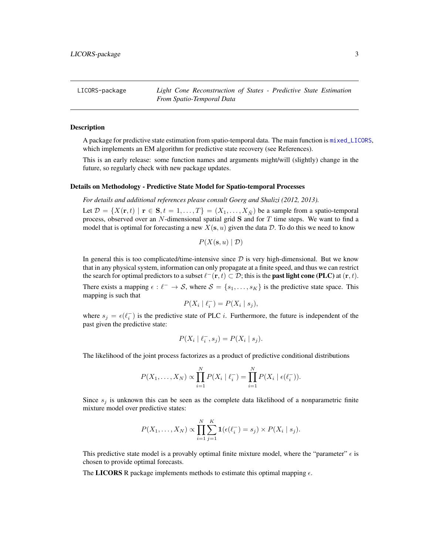<span id="page-2-0"></span>LICORS-package *Light Cone Reconstruction of States - Predictive State Estimation From Spatio-Temporal Data*

#### Description

A package for predictive state estimation from spatio-temporal data. The main function is [mixed\\_LICORS](#page-21-1), which implements an EM algorithm for predictive state recovery (see References).

This is an early release: some function names and arguments might/will (slightly) change in the future, so regularly check with new package updates.

#### Details on Methodology - Predictive State Model for Spatio-temporal Processes

*For details and additional references please consult Goerg and Shalizi (2012, 2013).*

Let  $\mathcal{D} = \{X(\mathbf{r},t) \mid \mathbf{r} \in \mathbf{S}, t = 1,\ldots,T\} = (X_1,\ldots,X_{\tilde{N}})$  be a sample from a spatio-temporal process, observed over an  $N$ -dimensional spatial grid  $S$  and for  $T$  time steps. We want to find a model that is optimal for forecasting a new  $X(s, u)$  given the data D. To do this we need to know

$$
P(X(\mathbf{s}, u) | \mathcal{D})
$$

In general this is too complicated/time-intensive since  $D$  is very high-dimensional. But we know that in any physical system, information can only propagate at a finite speed, and thus we can restrict the search for optimal predictors to a subset  $\ell^-(\mathbf{r}, t) \subset \mathcal{D}$ ; this is the **past light cone (PLC)** at  $(\mathbf{r}, t)$ . There exists a mapping  $\epsilon : \ell^- \to \mathcal{S}$ , where  $\mathcal{S} = \{s_1, \ldots, s_K\}$  is the predictive state space. This mapping is such that

$$
P(X_i \mid \ell_i^-) = P(X_i \mid s_j),
$$

where  $s_j = \epsilon(\ell_i)$  is the predictive state of PLC *i*. Furthermore, the future is independent of the past given the predictive state:

$$
P(X_i \mid \ell_i^-, s_j) = P(X_i \mid s_j).
$$

The likelihood of the joint process factorizes as a product of predictive conditional distributions

$$
P(X_1, ..., X_N) \propto \prod_{i=1}^{N} P(X_i | \ell_i^-) = \prod_{i=1}^{N} P(X_i | \epsilon(\ell_i^-)).
$$

Since  $s_j$  is unknown this can be seen as the complete data likelihood of a nonparametric finite mixture model over predictive states:

$$
P(X_1,\ldots,X_N) \propto \prod_{i=1}^N \sum_{j=1}^K \mathbf{1}(\epsilon(\ell_i^-) = s_j) \times P(X_i \mid s_j).
$$

This predictive state model is a provably optimal finite mixture model, where the "parameter"  $\epsilon$  is chosen to provide optimal forecasts.

The LICORS R package implements methods to estimate this optimal mapping  $\epsilon$ .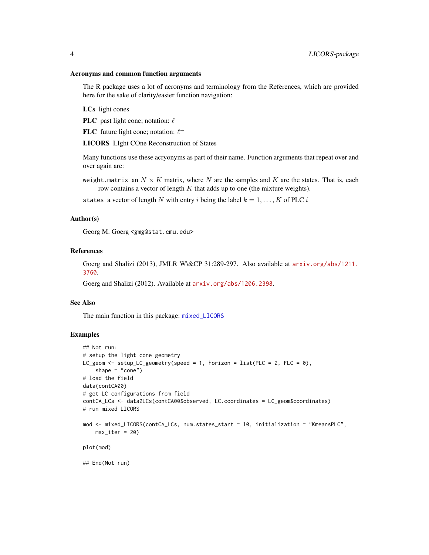#### <span id="page-3-0"></span>Acronyms and common function arguments

The R package uses a lot of acronyms and terminology from the References, which are provided here for the sake of clarity/easier function navigation:

LCs light cones

**PLC** past light cone; notation:  $\ell^-$ 

FLC future light cone; notation:  $\ell^+$ 

LICORS LIght COne Reconstruction of States

Many functions use these acryonyms as part of their name. Function arguments that repeat over and over again are:

weight.matrix an  $N \times K$  matrix, where N are the samples and K are the states. That is, each row contains a vector of length  $K$  that adds up to one (the mixture weights).

states a vector of length N with entry i being the label  $k = 1, ..., K$  of PLC i

#### Author(s)

Georg M. Goerg <gmg@stat.cmu.edu>

#### References

Goerg and Shalizi (2013), JMLR W\&CP 31:289-297. Also available at [arxiv.org/abs/1211.](arxiv.org/abs/1211.3760) [3760](arxiv.org/abs/1211.3760).

Goerg and Shalizi (2012). Available at <arxiv.org/abs/1206.2398>.

#### See Also

The main function in this package: [mixed\\_LICORS](#page-21-1)

```
## Not run:
# setup the light cone geometry
LC_geom <- setup_LC_geometry(speed = 1, horizon = list(PLC = 2, FLC = 0),
    shape = "cone")# load the field
data(contCA00)
# get LC configurations from field
contCA_LCs <- data2LCs(contCA00$observed, LC.coordinates = LC_geom$coordinates)
# run mixed LICORS
mod <- mixed_LICORS(contCA_LCs, num.states_start = 10, initialization = "KmeansPLC",
    max\_iter = 20plot(mod)
## End(Not run)
```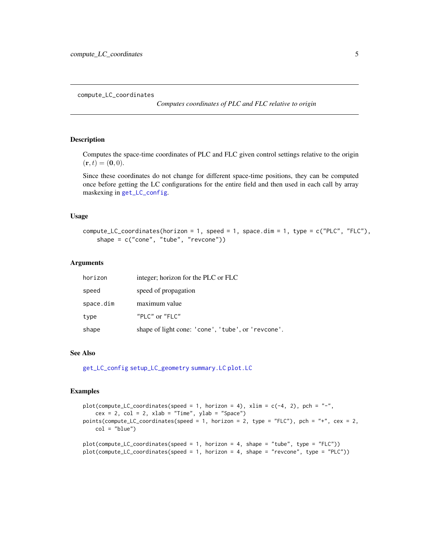<span id="page-4-1"></span><span id="page-4-0"></span>compute\_LC\_coordinates

*Computes coordinates of PLC and FLC relative to origin*

## Description

Computes the space-time coordinates of PLC and FLC given control settings relative to the origin  $(\mathbf{r}, t) = (\mathbf{0}, 0).$ 

Since these coordinates do not change for different space-time positions, they can be computed once before getting the LC configurations for the entire field and then used in each call by array maskexing in [get\\_LC\\_config](#page-14-1).

#### Usage

```
compute\_LC\_coordinates(horizon = 1, speed = 1, space.dim = 1, type = c("PLC", "FLC"),shape = c("cone", "tube", "revcone"))
```
## Arguments

| horizon   | integer; horizon for the PLC or FLC                |  |
|-----------|----------------------------------------------------|--|
| speed     | speed of propagation                               |  |
| space.dim | maximum value                                      |  |
| type      | "PLC" or "FLC"                                     |  |
| shape     | shape of light cone: 'cone', 'tube', or 'revcone'. |  |

#### See Also

[get\\_LC\\_config](#page-14-1) [setup\\_LC\\_geometry](#page-28-1) [summary.LC](#page-19-1) [plot.LC](#page-19-1)

```
plot(compute_LC_coordinates(speed = 1, horizon = 4), x \lim = c(-4, 2), pch = "-",
   cex = 2, col = 2, xlab = "Time", ylab = "Space")points(compute_LC_coordinates(speed = 1, horizon = 2, type = "FLC"), pch = "+", cex = 2,
   col = "blue")plot(compute_LC_coordinates(speed = 1, horizon = 4, shape = "tube", type = "FLC"))
plot(compute_LC_coordinates(speed = 1, horizon = 4, shape = "revcone", type = "PLC"))
```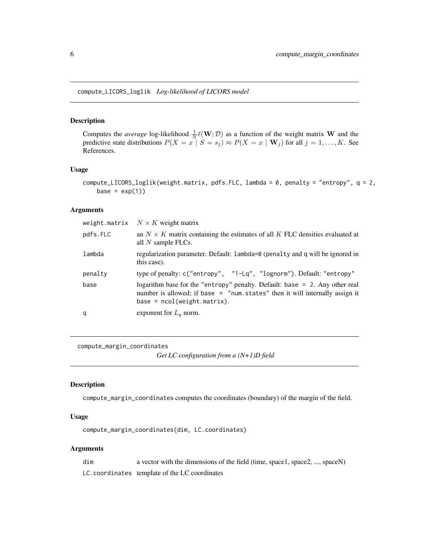<span id="page-5-1"></span><span id="page-5-0"></span>compute\_LICORS\_loglik *Log-likelihood of LICORS model*

## Description

Computes the *average* log-likelihood  $\frac{1}{N}\ell(\mathbf{W}; \mathcal{D})$  as a function of the weight matrix **W** and the predictive state distributions  $P(X = x \mid S = s_i) \approx P(X = x \mid \mathbf{W}_i)$  for all  $j = 1, ..., K$ . See References.

## Usage

```
compute_LICORS_loglik(weight.matrix, pdfs.FLC, lambda = 0, penalty = "entropy", q = 2,
   base = exp(1))
```
#### Arguments

| weight.matrix | $N \times K$ weight matrix                                                                                                                                                                     |
|---------------|------------------------------------------------------------------------------------------------------------------------------------------------------------------------------------------------|
| pdfs.FLC      | an $N \times K$ matrix containing the estimates of all K FLC densities evaluated at<br>all $N$ sample FLCs.                                                                                    |
| lambda        | regularization parameter. Default: lambda=0 (penalty and q will be ignored in<br>this case).                                                                                                   |
| penalty       | type of penalty: c("entropy", "1-Lq", "lognorm"). Default: "entropy"                                                                                                                           |
| base          | logarithm base for the "entropy" penalty. Default: base = $2$ . Any other real<br>number is allowed; if base = "num.states" then it will internally assign it<br>$base = ncol(weight.matrix).$ |
| q             | exponent for $L_q$ norm.                                                                                                                                                                       |
|               |                                                                                                                                                                                                |

compute\_margin\_coordinates

*Get LC configuration from a (N+1)D field*

#### Description

compute\_margin\_coordinates computes the coordinates (boundary) of the margin of the field.

## Usage

compute\_margin\_coordinates(dim, LC.coordinates)

#### Arguments

dim a vector with the dimensions of the field (time, space1, space2, ..., spaceN) LC.coordinates template of the LC coordinates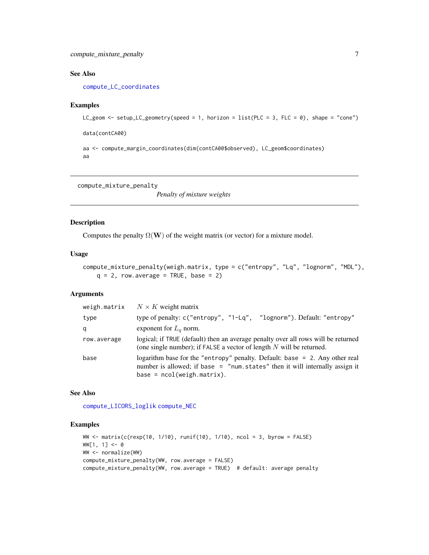## <span id="page-6-0"></span>See Also

[compute\\_LC\\_coordinates](#page-4-1)

#### Examples

```
LC\_geom \leftarrow setup\_LC\_geometry(speed = 1, horizon = list(PLC = 3, FLC = 0), shape = "cone")
```
data(contCA00)

aa <- compute\_margin\_coordinates(dim(contCA00\$observed), LC\_geom\$coordinates) aa

<span id="page-6-1"></span>compute\_mixture\_penalty

*Penalty of mixture weights*

#### Description

Computes the penalty  $\Omega(W)$  of the weight matrix (or vector) for a mixture model.

## Usage

```
compute_mixture_penalty(weigh.matrix, type = c("entropy", "Lq", "lognorm", "MDL"),
   q = 2, row.average = TRUE, base = 2)
```
## Arguments

| weigh.matrix | $N \times K$ weight matrix                                                                                                                                                                  |
|--------------|---------------------------------------------------------------------------------------------------------------------------------------------------------------------------------------------|
| type         | type of penalty: c("entropy", "1-Lq", "lognorm"). Default: "entropy"                                                                                                                        |
| q            | exponent for $L_a$ norm.                                                                                                                                                                    |
| row.average  | logical; if TRUE (default) then an average penalty over all rows will be returned<br>(one single number); if FALSE a vector of length $N$ will be returned.                                 |
| base         | logarithm base for the "entropy" penalty. Default: base = 2. Any other real<br>number is allowed; if base = "num.states" then it will internally assign it<br>$base = ncol(weight.matrix).$ |

## See Also

[compute\\_LICORS\\_loglik](#page-5-1) [compute\\_NEC](#page-7-1)

```
WW <- matrix(c(rexp(10, 1/10), runif(10), 1/10), ncol = 3, byrow = FALSE)
WW[1, 1] < -0WW <- normalize(WW)
compute_mixture_penalty(WW, row.average = FALSE)
compute_mixture_penalty(WW, row.average = TRUE) # default: average penalty
```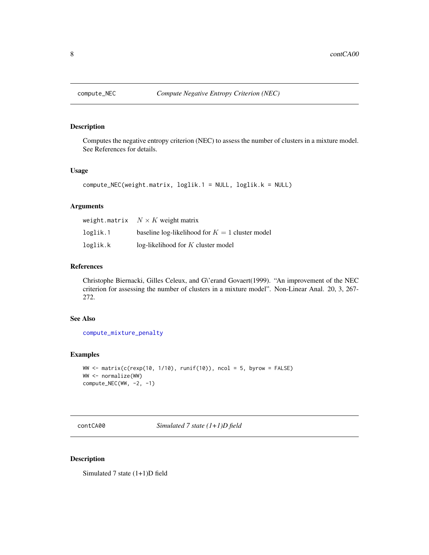<span id="page-7-1"></span><span id="page-7-0"></span>

## Description

Computes the negative entropy criterion (NEC) to assess the number of clusters in a mixture model. See References for details.

## Usage

```
compute_NEC(weight.matrix, loglik.1 = NULL, loglik.k = NULL)
```
## Arguments

|          | weight.matrix $N \times K$ weight matrix          |
|----------|---------------------------------------------------|
| loglik.1 | baseline log-likelihood for $K = 1$ cluster model |
| loglik.k | $log-likelihood$ for K cluster model              |

## References

Christophe Biernacki, Gilles Celeux, and G\'erand Govaert(1999). "An improvement of the NEC criterion for assessing the number of clusters in a mixture model". Non-Linear Anal. 20, 3, 267- 272.

#### See Also

[compute\\_mixture\\_penalty](#page-6-1)

## Examples

```
WW \le matrix(c(rexp(10, 1/10), runif(10)), ncol = 5, byrow = FALSE)
WW <- normalize(WW)
compute_NEC(WW, -2, -1)
```
contCA00 *Simulated 7 state (1+1)D field*

## Description

Simulated 7 state (1+1)D field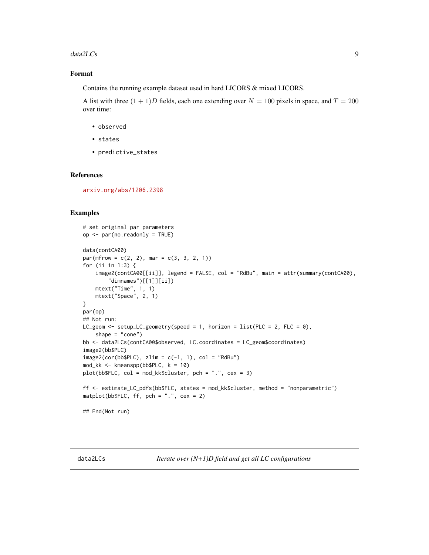#### <span id="page-8-0"></span>data2LCs 9

## Format

Contains the running example dataset used in hard LICORS & mixed LICORS.

A list with three  $(1 + 1)D$  fields, each one extending over  $N = 100$  pixels in space, and  $T = 200$ over time:

- observed
- states
- predictive\_states

#### References

<arxiv.org/abs/1206.2398>

## Examples

```
# set original par parameters
op <- par(no.readonly = TRUE)
data(contCA00)
par(mfrow = c(2, 2), mar = c(3, 3, 2, 1))for (ii in 1:3) {
    image2(contCA00[[ii]], legend = FALSE, col = "RdBu", main = attr(summary(contCA00),
        "dimnames")[[1]][ii])
   mtext("Time", 1, 1)
    mtext("Space", 2, 1)
}
par(op)
## Not run:
LC_geom <- setup_LC_geometry(speed = 1, horizon = list(PLC = 2, FLC = 0),
    shape = "cone")bb <- data2LCs(contCA00$observed, LC.coordinates = LC_geom$coordinates)
image2(bb$PLC)
image2(cor(bb$PLC), zlim = c(-1, 1), col = "RdBu")mod_kk <- kmeanspp(bb$PLC, k = 10)
plot(bb$FLC, col = mod_kk$cluster, pch = ".", cex = 3)
ff <- estimate_LC_pdfs(bb$FLC, states = mod_kk$cluster, method = "nonparametric")
matplot(bb$FLC, ff, pch = ".". cex = 2)
## End(Not run)
```
<span id="page-8-1"></span>data2LCs *Iterate over (N+1)D field and get all LC configurations*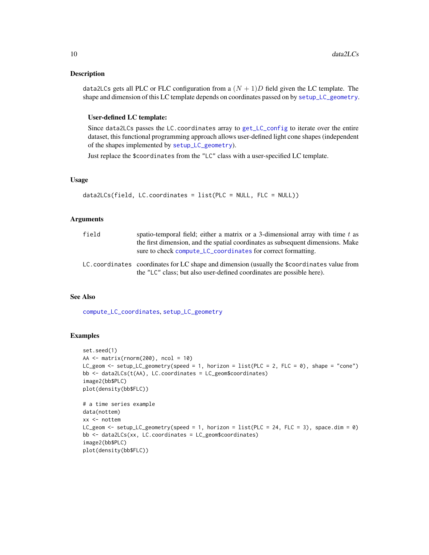#### <span id="page-9-0"></span>Description

data2LCs gets all PLC or FLC configuration from a  $(N + 1)D$  field given the LC template. The shape and dimension of this LC template depends on coordinates passed on by [setup\\_LC\\_geometry](#page-28-1).

#### User-defined LC template:

Since data2LCs passes the LC.coordinates array to [get\\_LC\\_config](#page-14-1) to iterate over the entire dataset, this functional programming approach allows user-defined light cone shapes (independent of the shapes implemented by [setup\\_LC\\_geometry](#page-28-1)).

Just replace the \$coordinates from the "LC" class with a user-specified LC template.

#### Usage

```
data2LCs(field, LC.coordinates = list(PLC = NULL, FLC = NULL))
```
## Arguments

| field | spatio-temporal field; either a matrix or a 3-dimensional array with time t as<br>the first dimension, and the spatial coordinates as subsequent dimensions. Make<br>sure to check compute_LC_coordinates for correct formatting. |
|-------|-----------------------------------------------------------------------------------------------------------------------------------------------------------------------------------------------------------------------------------|
|       | LC. coordinates coordinates for LC shape and dimension (usually the \$coordinates value from<br>the "LC" class; but also user-defined coordinates are possible here).                                                             |

## See Also

[compute\\_LC\\_coordinates](#page-4-1), [setup\\_LC\\_geometry](#page-28-1)

```
set.seed(1)
AA \leq matrix(rnorm(200), ncol = 10)
LC_geom <- setup_LC_geometry(speed = 1, horizon = list(PLC = 2, FLC = 0), shape = "cone")
bb <- data2LCs(t(AA), LC.coordinates = LC_geom$coordinates)
image2(bb$PLC)
plot(density(bb$FLC))
# a time series example
data(nottem)
xx <- nottem
LC_geom <- setup_LC_geometry(speed = 1, horizon = list(PLC = 24, FLC = 3), space.dim = 0)
bb <- data2LCs(xx, LC.coordinates = LC_geom$coordinates)
image2(bb$PLC)
plot(density(bb$FLC))
```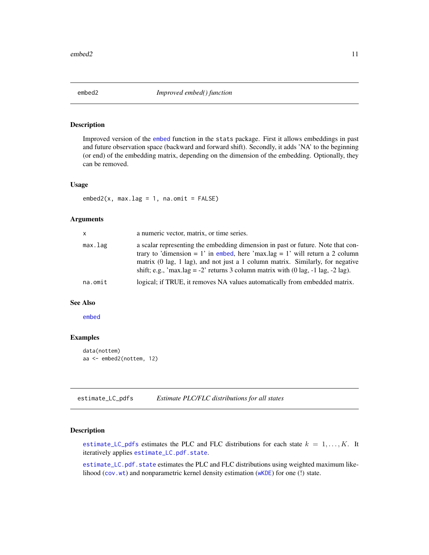<span id="page-10-0"></span>

#### Description

Improved version of the [embed](#page-0-0) function in the stats package. First it allows embeddings in past and future observation space (backward and forward shift). Secondly, it adds 'NA' to the beginning (or end) of the embedding matrix, depending on the dimension of the embedding. Optionally, they can be removed.

## Usage

 $embed2(x, max.lang = 1, na omit = FALSE)$ 

## Arguments

| <b>X</b> | a numeric vector, matrix, or time series.                                                                                                                                                                                                                                                                                                                         |
|----------|-------------------------------------------------------------------------------------------------------------------------------------------------------------------------------------------------------------------------------------------------------------------------------------------------------------------------------------------------------------------|
| max.lag  | a scalar representing the embedding dimension in past or future. Note that con-<br>trary to 'dimension = 1' in embed, here 'max.lag = 1' will return a 2 column<br>matrix (0 lag, 1 lag), and not just a 1 column matrix. Similarly, for negative<br>shift; e.g., 'max.lag = -2' returns 3 column matrix with $(0 \text{ lag}, -1 \text{ lag}, -2 \text{ lag})$ . |
| na.omit  | logical; if TRUE, it removes NA values automatically from embedded matrix.                                                                                                                                                                                                                                                                                        |
|          |                                                                                                                                                                                                                                                                                                                                                                   |

#### See Also

[embed](#page-0-0)

## Examples

```
data(nottem)
aa <- embed2(nottem, 12)
```
<span id="page-10-1"></span>estimate\_LC\_pdfs *Estimate PLC/FLC distributions for all states*

#### <span id="page-10-2"></span>Description

[estimate\\_LC\\_pdfs](#page-10-1) estimates the PLC and FLC distributions for each state  $k = 1, \ldots, K$ . It iteratively applies [estimate\\_LC.pdf.state](#page-10-2).

[estimate\\_LC.pdf.state](#page-10-2) estimates the PLC and FLC distributions using weighted maximum likelihood ([cov.wt](#page-0-0)) and nonparametric kernel density estimation ([wKDE](#page-32-1)) for one (!) state.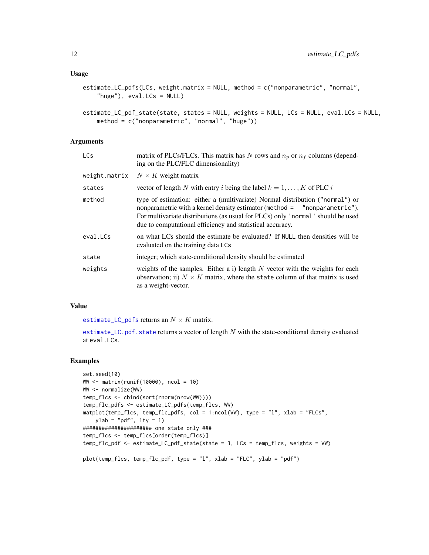```
estimate_LC_pdfs(LCs, weight.matrix = NULL, method = c("nonparametric", "normal",
    "huge"), eval.LCs = NULL)
```

```
estimate_LC_pdf_state(state, states = NULL, weights = NULL, LCs = NULL, eval.LCs = NULL,
   method = c("nonparametric", "normal", "huge"))
```
## Arguments

| <b>LCs</b>    | matrix of PLCs/FLCs. This matrix has N rows and $n_p$ or $n_f$ columns (depend-<br>ing on the PLC/FLC dimensionality)                                                                                                                                                                                      |
|---------------|------------------------------------------------------------------------------------------------------------------------------------------------------------------------------------------------------------------------------------------------------------------------------------------------------------|
| weight.matrix | $N \times K$ weight matrix                                                                                                                                                                                                                                                                                 |
| states        | vector of length N with entry i being the label $k = 1, , K$ of PLC i                                                                                                                                                                                                                                      |
| method        | type of estimation: either a (multivariate) Normal distribution ("normal") or<br>nonparametric with a kernel density estimator (method = "nonparametric").<br>For multivariate distributions (as usual for PLCs) only 'normal' should be used<br>due to computational efficiency and statistical accuracy. |
| eval.LCs      | on what LCs should the estimate be evaluated? If NULL then densities will be<br>evaluated on the training data LCs                                                                                                                                                                                         |
| state         | integer; which state-conditional density should be estimated                                                                                                                                                                                                                                               |
| weights       | weights of the samples. Either a i) length $N$ vector with the weights for each<br>observation; ii) $N \times K$ matrix, where the state column of that matrix is used<br>as a weight-vector.                                                                                                              |

#### Value

[estimate\\_LC\\_pdfs](#page-10-1) returns an  $N \times K$  matrix.

[estimate\\_LC.pdf.state](#page-10-2) returns a vector of length  $N$  with the state-conditional density evaluated at eval.LCs.

```
set.seed(10)
WW <- matrix(runif(10000), ncol = 10)
WW <- normalize(WW)
temp_flcs <- cbind(sort(rnorm(nrow(WW))))
temp_flc_pdfs <- estimate_LC_pdfs(temp_flcs, WW)
matplot(temp_flcs, temp_flc_pdfs, col = 1:ncol(WW), type = "l", xlab = "FLCs",
   ylab = "pdf", lty = 1)
###################### one state only ###
temp_flcs <- temp_flcs[order(temp_flcs)]
temp_flc_pdf <- estimate_LC_pdf_state(state = 3, LCs = temp_flcs, weights = WW)
plot(temp_flcs, temp_flc_pdf, type = "l", xlab = "FLC", ylab = "pdf")
```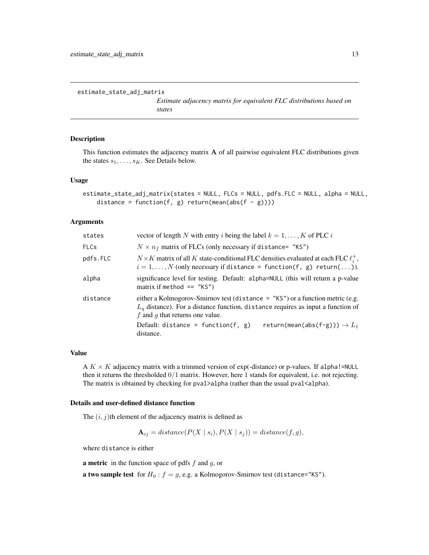```
estimate_state_adj_matrix
```
*Estimate adjacency matrix for equivalent FLC distributions based on states*

## Description

This function estimates the adjacency matrix A of all pairwise equivalent FLC distributions given the states  $s_1, \ldots, s_K$ . See Details below.

#### Usage

```
estimate_state_adj_matrix(states = NULL, FLCs = NULL, pdfs.FLC = NULL, alpha = NULL,
    distance = function(f, g) return(mean(abs(f - g))))
```
## Arguments

| states      | vector of length N with entry i being the label $k = 1, , K$ of PLC i                                                                                                                                    |
|-------------|----------------------------------------------------------------------------------------------------------------------------------------------------------------------------------------------------------|
| <b>FLCs</b> | $N \times n_f$ matrix of FLCs (only necessary if distance= "KS")                                                                                                                                         |
| pdfs.FLC    | $N \times K$ matrix of all K state-conditional FLC densities evaluated at each FLC $\ell_i^+$ ,<br>$i = 1, \ldots, N$ (only necessary if distance = function $(f, g)$ return $(\ldots)$ ).               |
| alpha       | significance level for testing. Default: alpha=NULL (this will return a p-value<br>matrix if method $==$ "KS")                                                                                           |
| distance    | either a Kolmogorov-Smirnov test (distance $=$ "KS") or a function metric (e.g.<br>$L_q$ distance). For a distance function, distance requires as input a function of<br>f and g that returns one value. |
|             | Default: distance = function(f, $g$ )<br>return(mean(abs(f-g))) $\rightarrow$ $L_1$<br>distance.                                                                                                         |

#### Value

A  $K \times K$  adjacency matrix with a trimmed version of exp(-distance) or p-values. If alpha!=NULL then it returns the thresholded  $0/1$  matrix. However, here 1 stands for equivalent, i.e. not rejecting. The matrix is obtained by checking for  $pval>alpha$  (rather than the usual  $pval$ <alpha).

#### Details and user-defined distance function

The  $(i, j)$ th element of the adjacency matrix is defined as

$$
\mathbf{A}_{ij} = distance(P(X \mid s_i), P(X \mid s_j)) = distance(f, g),
$$

where distance is either

**a metric** in the function space of pdfs  $f$  and  $g$ , or

**a two sample test** for  $H_0$ :  $f = g$ , e.g. a Kolmogorov-Smirnov test (distance="KS").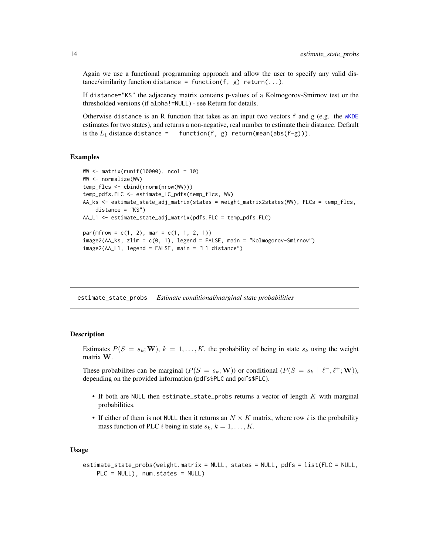<span id="page-13-0"></span>Again we use a functional programming approach and allow the user to specify any valid distance/similarity function distance = function(f, g) return(...).

If distance="KS" the adjacency matrix contains p-values of a Kolmogorov-Smirnov test or the thresholded versions (if alpha!=NULL) - see Return for details.

Otherwise distance is an R function that takes as an input two vectors f and g (e.g. the  $wKDE$ estimates for two states), and returns a non-negative, real number to estimate their distance. Default is the  $L_1$  distance distance = function(f, g) return(mean(abs(f-g))).

#### Examples

```
WW <- matrix(runif(10000), ncol = 10)
WW <- normalize(WW)
temp_flcs <- cbind(rnorm(nrow(WW)))
temp_pdfs.FLC <- estimate_LC_pdfs(temp_flcs, WW)
AA_ks <- estimate_state_adj_matrix(states = weight_matrix2states(WW), FLCs = temp_flcs,
    distance = "KS")
AA_L1 <- estimate_state_adj_matrix(pdfs.FLC = temp_pdfs.FLC)
par(mfrow = c(1, 2), mar = c(1, 1, 2, 1))image2(AA_ks, zlim = c(0, 1), legend = FALSE, main = "Kolmogorov-Smirnov")
image2(AA_L1, legend = FALSE, main = "L1 distance")
```
estimate\_state\_probs *Estimate conditional/marginal state probabilities*

#### Description

Estimates  $P(S = s_k; \mathbf{W})$ ,  $k = 1, ..., K$ , the probability of being in state  $s_k$  using the weight matrix W.

These probabilites can be marginal  $(P(S = s_k; \mathbf{W}))$  or conditional  $(P(S = s_k \mid \ell^-, \ell^+; \mathbf{W}))$ , depending on the provided information (pdfs\$PLC and pdfs\$FLC).

- If both are NULL then estimate\_state\_probs returns a vector of length  $K$  with marginal probabilities.
- If either of them is not NULL then it returns an  $N \times K$  matrix, where row i is the probability mass function of PLC *i* being in state  $s_k$ ,  $k = 1, \ldots, K$ .

#### Usage

```
estimate_state_probs(weight.matrix = NULL, states = NULL, pdfs = list(FLC = NULL,
    PLC = NULL), num.states = NULL)
```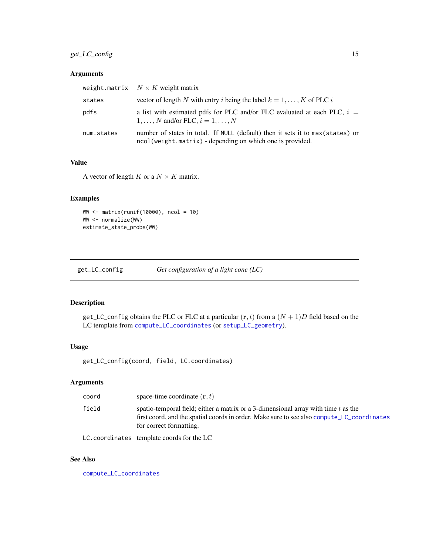## <span id="page-14-0"></span>get\_LC\_config 15

## Arguments

|            | weight.matrix $N \times K$ weight matrix                                                                                                     |
|------------|----------------------------------------------------------------------------------------------------------------------------------------------|
| states     | vector of length N with entry i being the label $k = 1, , K$ of PLC i                                                                        |
| pdfs       | a list with estimated pdfs for PLC and/or FLC evaluated at each PLC, $i =$<br>$1, \ldots, N$ and/or FLC, $i = 1, \ldots, N$                  |
| num.states | number of states in total. If NULL (default) then it sets it to max (states) or<br>ncol(weight.matrix) - depending on which one is provided. |

## Value

A vector of length  $K$  or a  $N \times K$  matrix.

## Examples

```
WW <- matrix(runif(10000), ncol = 10)
WW <- normalize(WW)
estimate_state_probs(WW)
```
<span id="page-14-1"></span>

| get_LC_config | Get configuration of a light cone $(LC)$ |  |
|---------------|------------------------------------------|--|
|               |                                          |  |

## Description

get\_LC\_config obtains the PLC or FLC at a particular  $(\mathbf{r}, t)$  from a  $(N + 1)D$  field based on the LC template from [compute\\_LC\\_coordinates](#page-4-1) (or [setup\\_LC\\_geometry](#page-28-1)).

## Usage

get\_LC\_config(coord, field, LC.coordinates)

## Arguments

| coord | space-time coordinate $(r, t)$                                                                                                                                                                                |
|-------|---------------------------------------------------------------------------------------------------------------------------------------------------------------------------------------------------------------|
| field | spatio-temporal field; either a matrix or a 3-dimensional array with time $t$ as the<br>first coord, and the spatial coords in order. Make sure to see also compute LC coordinates<br>for correct formatting. |
|       | $\Box$ $\alpha$ is a small in a finite second and solution $\Box$ $\Box$ $\Box$                                                                                                                               |

LC.coordinates template coords for the LC

## See Also

[compute\\_LC\\_coordinates](#page-4-1)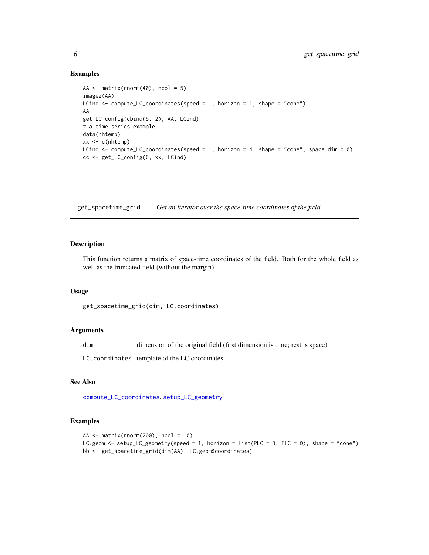#### Examples

```
AA \leq matrix(rnorm(40), ncol = 5)
image2(AA)
LCind <- compute_LC_coordinates(speed = 1, horizon = 1, shape = "cone")
AA
get_LC_config(cbind(5, 2), AA, LCind)
# a time series example
data(nhtemp)
xx <- c(nhtemp)
LCind \leq compute_LC_coordinates(speed = 1, horizon = 4, shape = "cone", space.dim = 0)
cc <- get_LC_config(6, xx, LCind)
```
<span id="page-15-1"></span>get\_spacetime\_grid *Get an iterator over the space-time coordinates of the field.*

#### Description

This function returns a matrix of space-time coordinates of the field. Both for the whole field as well as the truncated field (without the margin)

#### Usage

get\_spacetime\_grid(dim, LC.coordinates)

## Arguments

dim dimension of the original field (first dimension is time; rest is space)

LC.coordinates template of the LC coordinates

## See Also

[compute\\_LC\\_coordinates](#page-4-1), [setup\\_LC\\_geometry](#page-28-1)

```
AA \leftarrow matrix(rnorm(200), ncol = 10)
LC.geom <- setup_LC_geometry(speed = 1, horizon = list(PLC = 3, FLC = 0), shape = "cone")
bb <- get_spacetime_grid(dim(AA), LC.geom$coordinates)
```
<span id="page-15-0"></span>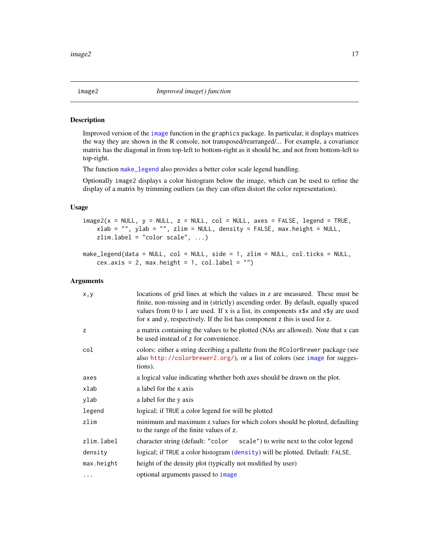<span id="page-16-0"></span>

#### <span id="page-16-1"></span>Description

Improved version of the [image](#page-0-0) function in the graphics package. In particular, it displays matrices the way they are shown in the R console, not transposed/rearranged/... For example, a covariance matrix has the diagonal in from top-left to bottom-right as it should be, and not from bottom-left to top-right.

The function [make\\_legend](#page-16-1) also provides a better color scale legend handling.

Optionally image2 displays a color histogram below the image, which can be used to refine the display of a matrix by trimming outliers (as they can often distort the color representation).

## Usage

 $image2(x = NULL, y = NULL, z = NULL, col = NULL, axes = FALSE, legend = TRUE,$  $x$ lab = "", ylab = "", zlim = NULL, density = FALSE, max.height = NULL, zlim.label = "color scale", ...)

make\_legend(data = NULL, col = NULL, side = 1, zlim = NULL, col.ticks = NULL, cex.axis = 2, max.height = 1, col.label =  $"$ )

| x, y       | locations of grid lines at which the values in z are measured. These must be<br>finite, non-missing and in (strictly) ascending order. By default, equally spaced<br>values from 0 to 1 are used. If x is a list, its components $x$ \$x and $x$ \$y are used<br>for x and y, respectively. If the list has component z this is used for z. |
|------------|---------------------------------------------------------------------------------------------------------------------------------------------------------------------------------------------------------------------------------------------------------------------------------------------------------------------------------------------|
| z          | a matrix containing the values to be plotted (NAs are allowed). Note that x can<br>be used instead of z for convenience.                                                                                                                                                                                                                    |
| col        | colors: either a string decribing a pallette from the RColorBrewer package (see<br>also http://colorbrewer2.org/), or a list of colors (see image for sugges-<br>tions).                                                                                                                                                                    |
| axes       | a logical value indicating whether both axes should be drawn on the plot.                                                                                                                                                                                                                                                                   |
| xlab       | a label for the x axis                                                                                                                                                                                                                                                                                                                      |
| ylab       | a label for the y axis                                                                                                                                                                                                                                                                                                                      |
| legend     | logical; if TRUE a color legend for will be plotted                                                                                                                                                                                                                                                                                         |
| zlim       | minimum and maximum z values for which colors should be plotted, defaulting<br>to the range of the finite values of z.                                                                                                                                                                                                                      |
| zlim.label | scale") to write next to the color legend<br>character string (default: "color"                                                                                                                                                                                                                                                             |
| density    | logical; if TRUE a color histogram (density) will be plotted. Default: FALSE.                                                                                                                                                                                                                                                               |
| max.height | height of the density plot (typically not modified by user)                                                                                                                                                                                                                                                                                 |
| $\cdots$   | optional arguments passed to image                                                                                                                                                                                                                                                                                                          |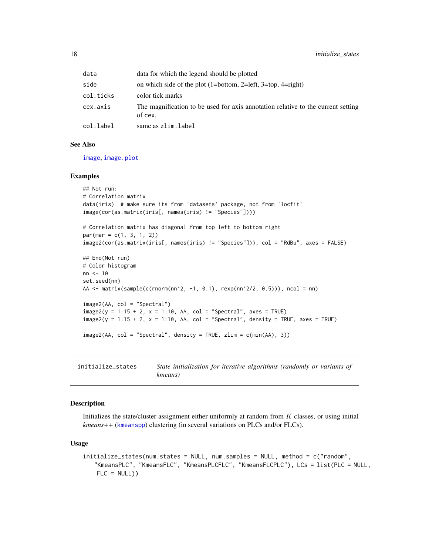<span id="page-17-0"></span>

| data      | data for which the legend should be plotted                                                 |
|-----------|---------------------------------------------------------------------------------------------|
| side      | on which side of the plot $(1=bottom, 2=left, 3=top, 4=right)$                              |
| col.ticks | color tick marks                                                                            |
| cex.axis  | The magnification to be used for axis annotation relative to the current setting<br>of cex. |
| col.label | same as zlim.label                                                                          |

#### See Also

[image](#page-0-0), [image.plot](#page-0-0)

#### Examples

```
## Not run:
# Correlation matrix
data(iris) # make sure its from 'datasets' package, not from 'locfit'
image(cor(as.matrix(iris[, names(iris) != "Species"])))
# Correlation matrix has diagonal from top left to bottom right
par(max = c(1, 3, 1, 2))image2(cor(as.matrix(iris[, names(iris) != "Species"])), col = "RdBu", axes = FALSE)
## End(Not run)
# Color histogram
nn <- 10
set.seed(nn)
AA <- matrix(sample(c(rnorm(nn^2, -1, 0.1), rexp(nn^2/2, 0.5))), ncol = nn)
image2(AA, col = "Spectral")
image2(y = 1:15 + 2, x = 1:10, AA, col = "Spectral", axes = TRUE)image2(y = 1:15 + 2, x = 1:10, AA, col = "Spectral", density = TRUE, axes = TRUE)image2(AA, col = "Spectral", density = TRUE, zlim = c(min(AA), 3))
```
<span id="page-17-1"></span>initialize\_states *State initialization for iterative algorithms (randomly or variants of kmeans)*

#### Description

Initializes the state/cluster assignment either uniformly at random from K classes, or using initial *kmeans++* ([kmeanspp](#page-18-1)) clustering (in several variations on PLCs and/or FLCs).

#### Usage

```
initialize_states(num.states = NULL, num.samples = NULL, method = c("random",
   "KmeansPLC", "KmeansFLC", "KmeansPLCFLC", "KmeansFLCPLC"), LCs = list(PLC = NULL,
   FLC = NULL)
```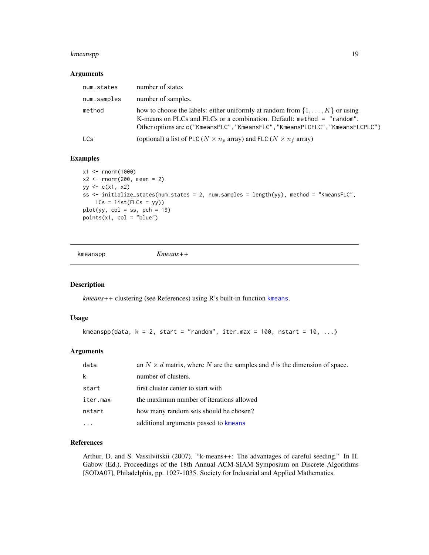#### <span id="page-18-0"></span>kmeanspp $\qquad \qquad \qquad$  19

#### Arguments

| num.states  | number of states                                                                                                                                                                                                                                 |
|-------------|--------------------------------------------------------------------------------------------------------------------------------------------------------------------------------------------------------------------------------------------------|
| num.samples | number of samples.                                                                                                                                                                                                                               |
| method      | how to choose the labels: either uniformly at random from $\{1, \ldots, K\}$ or using<br>K-means on PLCs and FLCs or a combination. Default: method = "random".<br>Other options are c("KmeansPLC", "KmeansFLC", "KmeansPLCFLC", "KmeansFLCPLC") |
| <b>LCs</b>  | (optional) a list of PLC ( $N \times n_p$ array) and FLC ( $N \times n_f$ array)                                                                                                                                                                 |

#### Examples

```
x1 <- rnorm(1000)
x2 \le rnorm(200, mean = 2)
yy \leq -c(x1, x2)ss <- initialize_states(num.states = 2, num.samples = length(yy), method = "KmeansFLC",
   LCs = list(FLCs = yy)plot(yy, col = ss, pch = 19)points(x1, col = "blue")
```

```
kmeanspp Kmeans++
```
## Description

*kmeans++* clustering (see References) using R's built-in function [kmeans](#page-0-0).

#### Usage

```
kmeanspp(data, k = 2, start = "random", iter.max = 100, nstart = 10, ...)
```
## Arguments

| data     | an $N \times d$ matrix, where N are the samples and d is the dimension of space. |
|----------|----------------------------------------------------------------------------------|
|          | number of clusters.                                                              |
| start    | first cluster center to start with                                               |
| iter.max | the maximum number of iterations allowed                                         |
| nstart   | how many random sets should be chosen?                                           |
|          | additional arguments passed to kmeans                                            |

## References

Arthur, D. and S. Vassilvitskii (2007). "k-means++: The advantages of careful seeding." In H. Gabow (Ed.), Proceedings of the 18th Annual ACM-SIAM Symposium on Discrete Algorithms [SODA07], Philadelphia, pp. 1027-1035. Society for Industrial and Applied Mathematics.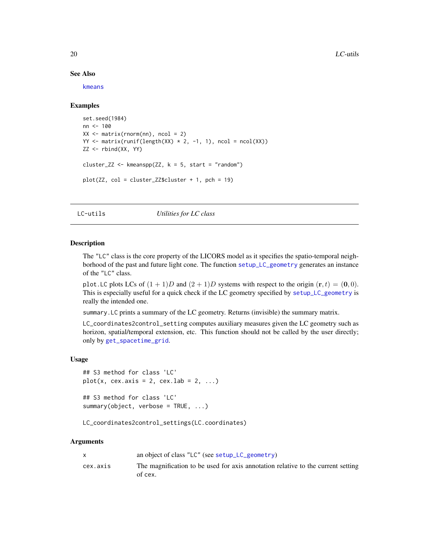#### See Also

[kmeans](#page-0-0)

#### Examples

```
set.seed(1984)
nn <- 100
XX \leq matrix(rnorm(nn), ncol = 2)
YY \le matrix(runif(length(XX) \star 2, -1, 1), ncol = ncol(XX))
ZZ <- rbind(XX, YY)
cluster_ZZ <- kmeanspp(ZZ, k = 5, start = "random")
plot(ZZ, col = cluster_ZZ$cluster + 1, pch = 19)
```
<span id="page-19-2"></span>LC-utils *Utilities for LC class*

## <span id="page-19-1"></span>**Description**

The "LC" class is the core property of the LICORS model as it specifies the spatio-temporal neighborhood of the past and future light cone. The function [setup\\_LC\\_geometry](#page-28-1) generates an instance of the "LC" class.

plot. LC plots LCs of  $(1 + 1)D$  and  $(2 + 1)D$  systems with respect to the origin  $(r, t) = (0, 0)$ . This is especially useful for a quick check if the LC geometry specified by [setup\\_LC\\_geometry](#page-28-1) is really the intended one.

summary.LC prints a summary of the LC geometry. Returns (invisible) the summary matrix.

LC\_coordinates2control\_setting computes auxiliary measures given the LC geometry such as horizon, spatial/temporal extension, etc. This function should not be called by the user directly; only by [get\\_spacetime\\_grid](#page-15-1).

#### Usage

```
## S3 method for class 'LC'
plot(x, cex.axis = 2, cex.lab = 2, ...)
```
## S3 method for class 'LC' summary(object, verbose = TRUE, ...)

LC\_coordinates2control\_settings(LC.coordinates)

| X        | an object of class "LC" (see setup_LC_geometry)                                             |
|----------|---------------------------------------------------------------------------------------------|
| cex.axis | The magnification to be used for axis annotation relative to the current setting<br>of cex. |

<span id="page-19-0"></span>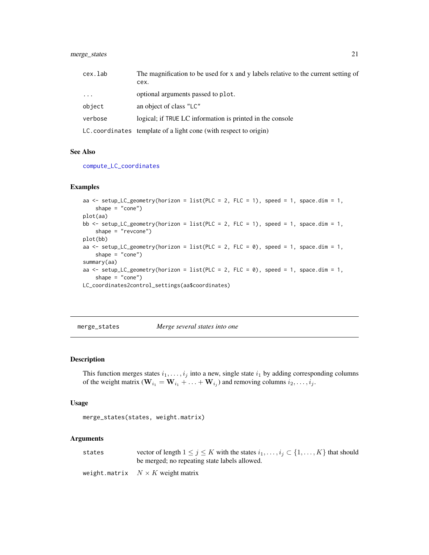## <span id="page-20-0"></span>merge\_states 21

| cex.lab  | The magnification to be used for x and y labels relative to the current setting of |
|----------|------------------------------------------------------------------------------------|
|          | cex.                                                                               |
| $\cdots$ | optional arguments passed to plot.                                                 |
| object   | an object of class "LC"                                                            |
| verbose  | logical; if TRUE LC information is printed in the console                          |
|          | LC. coordinates template of a light cone (with respect to origin)                  |

#### See Also

[compute\\_LC\\_coordinates](#page-4-1)

#### Examples

aa <- setup\_LC\_geometry(horizon = list(PLC = 2, FLC = 1), speed = 1, space.dim = 1, shape =  $"cone")$ plot(aa) bb  $\le$  setup\_LC\_geometry(horizon = list(PLC = 2, FLC = 1), speed = 1, space.dim = 1, shape = "revcone") plot(bb) aa  $\le$  setup\_LC\_geometry(horizon = list(PLC = 2, FLC = 0), speed = 1, space.dim = 1, shape =  $"cone")$ summary(aa) aa <- setup\_LC\_geometry(horizon = list(PLC = 2, FLC = 0), speed = 1, space.dim = 1, shape =  $"cone")$ LC\_coordinates2control\_settings(aa\$coordinates)

merge\_states *Merge several states into one*

## Description

This function merges states  $i_1, \ldots, i_j$  into a new, single state  $i_1$  by adding corresponding columns of the weight matrix ( $\mathbf{W}_{i_1} = \mathbf{W}_{i_1} + \ldots + \mathbf{W}_{i_j}$ ) and removing columns  $i_2, \ldots, i_j$ .

#### Usage

```
merge_states(states, weight.matrix)
```

| states | vector of length $1 \le j \le K$ with the states $i_1, \ldots, i_j \subset \{1, \ldots, K\}$ that should<br>be merged; no repeating state labels allowed. |
|--------|-----------------------------------------------------------------------------------------------------------------------------------------------------------|
|        | weight.matrix $N \times K$ weight matrix                                                                                                                  |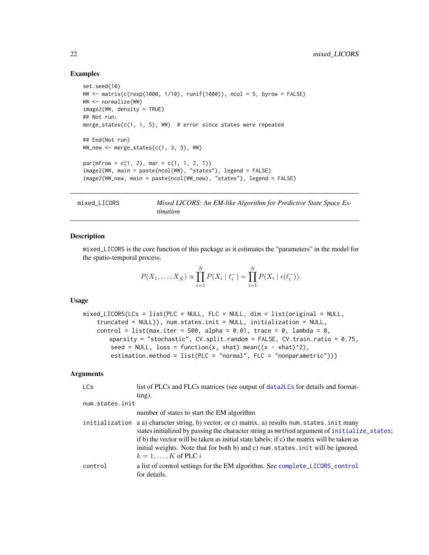#### Examples

```
set.seed(10)
WW <- matrix(c(rexp(1000, 1/10), runif(1000)), ncol = 5, byrow = FALSE)
WW <- normalize(WW)
image2(WW, density = TRUE)
## Not run:
merge_states(c(1, 1, 5), WW) # error since states were repeated
## End(Not run)
WW_new \leq merge_states(c(1, 3, 5), WW)
par(mfrow = c(1, 2), mar = c(1, 1, 2, 1))image2(WW, main = paste(ncol(WW), "states"), legend = FALSE)
image2(WW_new, main = paste(ncol(WW_new), "states"), legend = FALSE)
```

```
mixed_LICORS Mixed LICORS: An EM-like Algorithm for Predictive State Space Es-
                       timation
```
#### **Description**

mixed\_LICORS is the core function of this package as it estimates the "parameters" in the model for the spatio-temporal process.

$$
P(X_1, ..., X_{\tilde{N}}) \propto \prod_{i=1}^{N} P(X_i | \ell_i^-) = \prod_{i=1}^{N} P(X_i | \epsilon(\ell_i^-)).
$$

#### Usage

```
mixed\_LICORS(LCs = list(PLC = NULL, FLC = NULL, dim = list(original = NULL,truncated = NULL)), num.states.init = NULL, initialization = NULL,
   control = list(max.iter = 500, alpha = 0.01, trace = 0, lambda = 0,
       sparsity = "stochastic", CV.split.random = FALSE, CV.train.ratio = 0.75,
       seed = NULL, loss = function(x, xhat) mean((x - xhat)^2),
       estimation.method = list(PLC = "normal", FLC = "nonparametric")))
```

| <b>LCs</b>      | list of PLCs and FLCs matrices (see output of data 2LCs for details and format-                                                                                                                                                                                                                                                                                                                                  |
|-----------------|------------------------------------------------------------------------------------------------------------------------------------------------------------------------------------------------------------------------------------------------------------------------------------------------------------------------------------------------------------------------------------------------------------------|
|                 | $\lim g$ ).                                                                                                                                                                                                                                                                                                                                                                                                      |
| num.states.init |                                                                                                                                                                                                                                                                                                                                                                                                                  |
|                 | number of states to start the EM algorithm                                                                                                                                                                                                                                                                                                                                                                       |
|                 | initialization a a) character string, b) vector, or c) matrix. a) results num. states. init many<br>states initialized by passing the character string as method argument of initialize_states;<br>if b) the vector will be taken as initial state labels; if c) the matrix will be taken as<br>initial weights. Note that for both b) and c) num. states. in it will be ignored.<br>$k = 1, \ldots, K$ of PLC i |
| control         | a list of control settings for the EM algorithm. See complete_LICORS_control<br>for details.                                                                                                                                                                                                                                                                                                                     |

<span id="page-21-0"></span>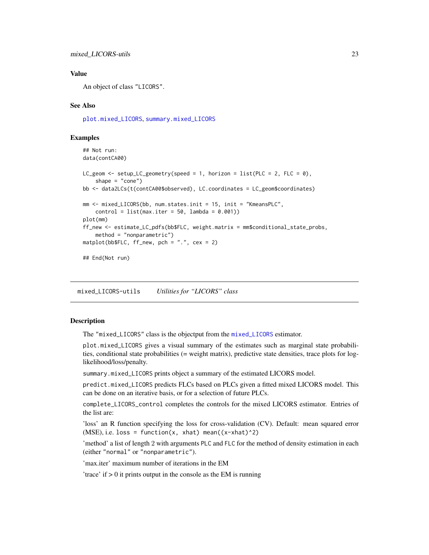#### <span id="page-22-0"></span>Value

An object of class "LICORS".

#### See Also

[plot.mixed\\_LICORS](#page-22-1), [summary.mixed\\_LICORS](#page-22-1)

#### Examples

```
## Not run:
data(contCA00)
LC_geom <- setup_LC_geometry(speed = 1, horizon = list(PLC = 2, FLC = \emptyset),
    shape = "cone")bb <- data2LCs(t(contCA00$observed), LC.coordinates = LC_geom$coordinates)
mm <- mixed_LICORS(bb, num.states.init = 15, init = "KmeansPLC",
    control = list(max.iter = 50, lambda = 0.001))plot(mm)
ff_new <- estimate_LC_pdfs(bb$FLC, weight.matrix = mm$conditional_state_probs,
    method = "nonparametric")
matplot(bb$FLC, ff_new, pch = ".", cex = 2)
## End(Not run)
```
mixed\_LICORS-utils *Utilities for "LICORS" class*

#### <span id="page-22-1"></span>**Description**

The "mixed\_LICORS" class is the objectput from the [mixed\\_LICORS](#page-21-1) estimator.

plot.mixed\_LICORS gives a visual summary of the estimates such as marginal state probabilities, conditional state probabilities (= weight matrix), predictive state densities, trace plots for loglikelihood/loss/penalty.

summary.mixed\_LICORS prints object a summary of the estimated LICORS model.

predict.mixed\_LICORS predicts FLCs based on PLCs given a fitted mixed LICORS model. This can be done on an iterative basis, or for a selection of future PLCs.

complete\_LICORS\_control completes the controls for the mixed LICORS estimator. Entries of the list are:

'loss' an R function specifying the loss for cross-validation (CV). Default: mean squared error  $(MSE)$ , i.e. loss = function(x, xhat) mean((x-xhat)^2)

'method' a list of length 2 with arguments PLC and FLC for the method of density estimation in each (either "normal" or "nonparametric").

'max.iter' maximum number of iterations in the EM

'trace' if  $> 0$  it prints output in the console as the EM is running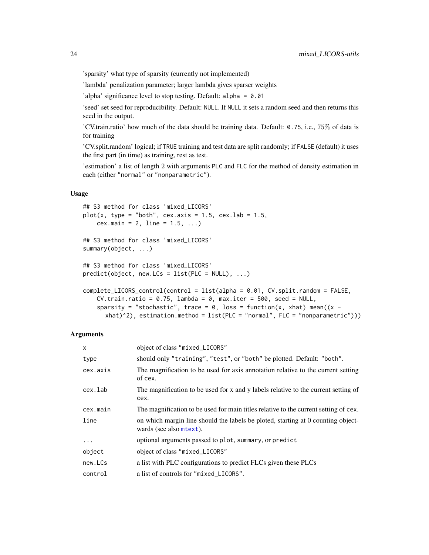<span id="page-23-0"></span>'sparsity' what type of sparsity (currently not implemented)

'lambda' penalization parameter; larger lambda gives sparser weights

'alpha' significance level to stop testing. Default: alpha = 0.01

'seed' set seed for reproducibility. Default: NULL. If NULL it sets a random seed and then returns this seed in the output.

'CV.train.ratio' how much of the data should be training data. Default: 0.75, i.e., 75% of data is for training

'CV.split.random' logical; if TRUE training and test data are split randomly; if FALSE (default) it uses the first part (in time) as training, rest as test.

'estimation' a list of length 2 with arguments PLC and FLC for the method of density estimation in each (either "normal" or "nonparametric").

## Usage

```
## S3 method for class 'mixed_LICORS'
plot(x, type = "both", cex.axis = 1.5, cex.lab = 1.5,cex.main = 2, line = 1.5, ...)
## S3 method for class 'mixed_LICORS'
summary(object, ...)
## S3 method for class 'mixed_LICORS'
predict(object, new.LCs = list(PLC = NULL), ...)complete_LICORS_control(control = list(alpha = 0.01, CV.split.random = FALSE,
   CV.train.ratio = 0.75, lambda = 0, max.iter = 500, seed = NULL,
   sparsity = "stochastic", trace = 0, loss = function(x, xhat) mean((x -
```
#### **Arguments**

| $\mathsf{x}$ | object of class "mixed_LICORS"                                                                              |
|--------------|-------------------------------------------------------------------------------------------------------------|
| type         | should only "training", "test", or "both" be plotted. Default: "both".                                      |
| cex.axis     | The magnification to be used for axis annotation relative to the current setting<br>of cex.                 |
| cex.lab      | The magnification to be used for x and y labels relative to the current setting of<br>cex.                  |
| cex.main     | The magnification to be used for main titles relative to the current setting of cex.                        |
| line         | on which margin line should the labels be ploted, starting at 0 counting object-<br>wards (see also mtext). |
| $\ddots$     | optional arguments passed to plot, summary, or predict                                                      |
| object       | object of class "mixed_LICORS"                                                                              |
| new.LCs      | a list with PLC configurations to predict FLCs given these PLCs                                             |
| control      | a list of controls for "mixed_LICORS".                                                                      |

xhat)^2), estimation.method = list(PLC = "normal", FLC = "nonparametric")))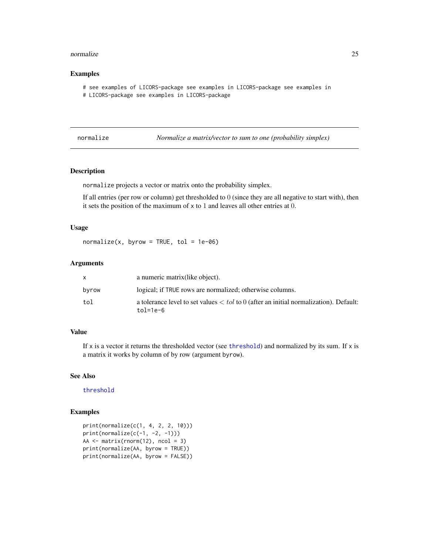#### <span id="page-24-0"></span>normalize 25

#### Examples

```
# see examples of LICORS-package see examples in LICORS-package see examples in
# LICORS-package see examples in LICORS-package
```
<span id="page-24-1"></span>normalize *Normalize a matrix/vector to sum to one (probability simplex)*

## Description

normalize projects a vector or matrix onto the probability simplex.

If all entries (per row or column) get thresholded to 0 (since they are all negative to start with), then it sets the position of the maximum of x to 1 and leaves all other entries at 0.

## Usage

 $normalize(x, byrow = TRUE, tol = 1e-06)$ 

## Arguments

|       | a numeric matrix (like object).                                                                           |
|-------|-----------------------------------------------------------------------------------------------------------|
| byrow | logical; if TRUE rows are normalized; otherwise columns.                                                  |
| tol   | a tolerance level to set values $\langle$ to 0 (after an initial normalization). Default:<br>$tol = 1e-6$ |

## Value

If x is a vector it returns the thresholded vector (see [threshold](#page-30-1)) and normalized by its sum. If x is a matrix it works by column of by row (argument byrow).

#### See Also

[threshold](#page-30-1)

```
print(normalize(c(1, 4, 2, 2, 10)))
print(normalize(c(-1, -2, -1)))
AA \leq matrix(rnorm(12), ncol = 3)
print(normalize(AA, byrow = TRUE))
print(normalize(AA, byrow = FALSE))
```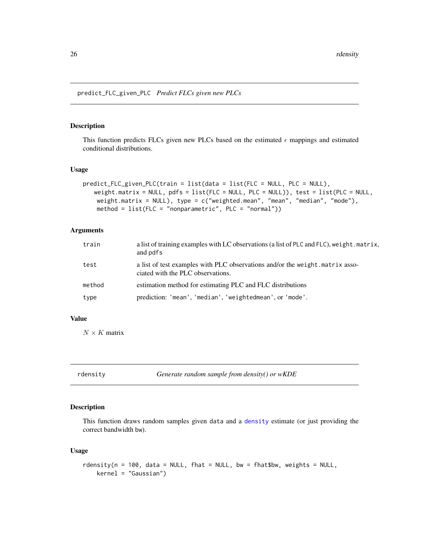<span id="page-25-0"></span>predict\_FLC\_given\_PLC *Predict FLCs given new PLCs*

#### Description

This function predicts FLCs given new PLCs based on the estimated  $\epsilon$  mappings and estimated conditional distributions.

## Usage

```
predict_FLC_given_PLC(train = list(data = list(FLC = NULL, PLC = NULL),
   weight.matrix = NULL, pdfs = list(FLC = NULL, PLC = NULL)), test = list(PLC = NULL,
   weight.matrix = NULL), type = c("weighted.mean", "mean", "median", "mode"),
   method = list(FLC = "nonparametric", PLC = "normal")
```
## Arguments

| train  | a list of training examples with LC observations (a list of PLC and FLC), we ight matrix,<br>and pdfs              |
|--------|--------------------------------------------------------------------------------------------------------------------|
| test   | a list of test examples with PLC observations and/or the weight. matrix asso-<br>ciated with the PLC observations. |
| method | estimation method for estimating PLC and FLC distributions                                                         |
| type   | prediction: 'mean', 'median', 'weightedmean', or 'mode'.                                                           |

## Value

 $N \times K$  matrix

rdensity *Generate random sample from density() or wKDE*

### Description

This function draws random samples given data and a [density](#page-0-0) estimate (or just providing the correct bandwidth bw).

### Usage

```
rdensity(n = 100, data = NULL, fhat = NULL, bw = fhat$bw, weights = NULL,
   kernel = "Gaussian")
```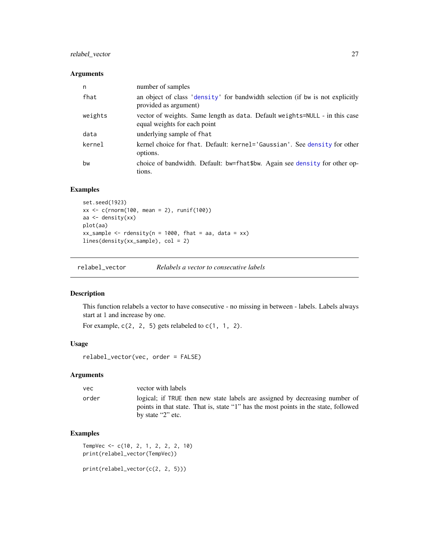## <span id="page-26-0"></span>relabel\_vector 27

#### Arguments

| n       | number of samples                                                                                           |
|---------|-------------------------------------------------------------------------------------------------------------|
| fhat    | an object of class 'density' for bandwidth selection (if bw is not explicitly<br>provided as argument)      |
| weights | vector of weights. Same length as data. Default weights=NULL - in this case<br>equal weights for each point |
| data    | underlying sample of fhat                                                                                   |
| kernel  | kernel choice for fhat. Default: kernel='Gaussian'. See density for other<br>options.                       |
| bw      | choice of bandwidth. Default: bw=fhat\$bw. Again see density for other op-<br>tions.                        |

## Examples

```
set.seed(1923)
xx \leq c(rnorm(100, mean = 2), runif(100))
aa \leftarrow density(xx)
plot(aa)
xx_sample <- rdensity(n = 1000, fhat = aa, data = xx)
lines(density(xx_sample), col = 2)
```
relabel\_vector *Relabels a vector to consecutive labels*

## Description

This function relabels a vector to have consecutive - no missing in between - labels. Labels always start at 1 and increase by one.

For example,  $c(2, 2, 5)$  gets relabeled to  $c(1, 1, 2)$ .

## Usage

```
relabel_vector(vec, order = FALSE)
```
#### Arguments

| vector with labels                                                                                                                                                                               |  |
|--------------------------------------------------------------------------------------------------------------------------------------------------------------------------------------------------|--|
| logical; if TRUE then new state labels are assigned by decreasing number of<br>order<br>points in that state. That is, state "1" has the most points in the state, followed<br>by state "2" etc. |  |

## Examples

```
TempVec <- c(10, 2, 1, 2, 2, 2, 10)
print(relabel_vector(TempVec))
```
print(relabel\_vector(c(2, 2, 5)))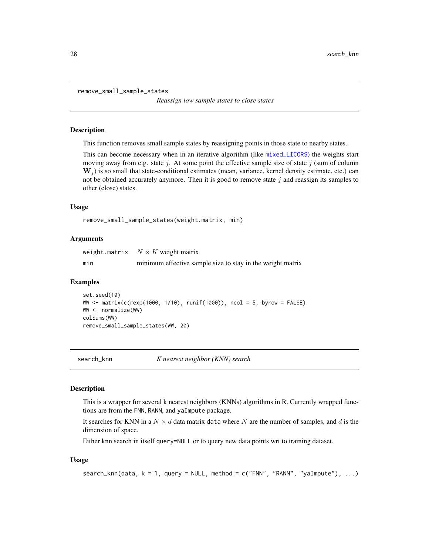<span id="page-27-0"></span>remove\_small\_sample\_states

*Reassign low sample states to close states*

#### Description

This function removes small sample states by reassigning points in those state to nearby states.

This can become necessary when in an iterative algorithm (like [mixed\\_LICORS](#page-21-1)) the weights start moving away from e.g. state j. At some point the effective sample size of state j (sum of column  $W_i$ ) is so small that state-conditional estimates (mean, variance, kernel density estimate, etc.) can not be obtained accurately anymore. Then it is good to remove state  $j$  and reassign its samples to other (close) states.

#### Usage

```
remove_small_sample_states(weight.matrix, min)
```
#### Arguments

weight.matrix  $N \times K$  weight matrix min minimum effective sample size to stay in the weight matrix

#### Examples

```
set.seed(10)
WW <- matrix(c(rexp(1000, 1/10), runif(1000)), ncol = 5, byrow = FALSE)
WW <- normalize(WW)
colSums(WW)
remove_small_sample_states(WW, 20)
```
search\_knn *K nearest neighbor (KNN) search*

## **Description**

This is a wrapper for several k nearest neighbors (KNNs) algorithms in R. Currently wrapped functions are from the FNN, RANN, and yaImpute package.

It searches for KNN in a  $N \times d$  data matrix data where N are the number of samples, and d is the dimension of space.

Either knn search in itself query=NULL or to query new data points wrt to training dataset.

#### Usage

```
search_knn(data, k = 1, query = NULL, method = c("FNN", "RANN", "yaImpute"), ...)
```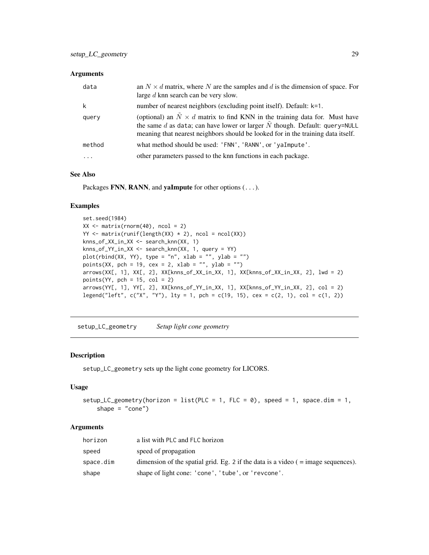## <span id="page-28-0"></span>Arguments

| data     | an $N \times d$ matrix, where N are the samples and d is the dimension of space. For<br>large $d$ knn search can be very slow.                                                                                                                                  |
|----------|-----------------------------------------------------------------------------------------------------------------------------------------------------------------------------------------------------------------------------------------------------------------|
| k        | number of nearest neighbors (excluding point itself). Default: k=1.                                                                                                                                                                                             |
| query    | (optional) an $\tilde{N} \times d$ matrix to find KNN in the training data for. Must have<br>the same $d$ as data; can have lower or larger $N$ though. Default: query=NULL<br>meaning that nearest neighbors should be looked for in the training data itself. |
| method   | what method should be used: 'FNN', 'RANN', or 'yaImpute'.                                                                                                                                                                                                       |
| $\ddots$ | other parameters passed to the knn functions in each package.                                                                                                                                                                                                   |

## See Also

Packages FNN, RANN, and yaImpute for other options (...).

## Examples

```
set.seed(1984)
XX \leq matrix(rnorm(40), ncol = 2)
YY \leq matrix(runif(length(XX) \neq 2), ncol = ncol(XX))
knns_of_XX_in_XX <- search_knn(XX, 1)
knns_of_YY_in_XX <- search_knn(XX, 1, query = YY)
plot(rbind(XX, YY), type = "n", xlab = "", ylab = "")points(XX, pch = 19, cex = 2, xlab = "", ylab = "")
arrows(XX[, 1], XX[, 2], XX[knns_of_XX_in_XX, 1], XX[knns_of_XX_in_XX, 2], lwd = 2)
points(YY, pch = 15, col = 2)arrows(YY[, 1], YY[, 2], XX[knns_of_YY_in_XX, 1], XX[knns_of_YY_in_XX, 2], col = 2)
legend("left", c("X", "Y"), lty = 1, pch = c(19, 15), cex = c(2, 1), col = c(1, 2))
```
<span id="page-28-1"></span>setup\_LC\_geometry *Setup light cone geometry*

### Description

setup\_LC\_geometry sets up the light cone geometry for LICORS.

#### Usage

```
setup_LC_geometry(horizon = list(PLC = 1, FLC = 0), speed = 1, space.dim = 1,
   shape = "cone")
```

| horizon   | a list with PLC and FLC horizon                                                     |
|-----------|-------------------------------------------------------------------------------------|
| speed     | speed of propagation                                                                |
| space.dim | dimension of the spatial grid. Eg. 2 if the data is a video $($ = image sequences). |
| shape     | shape of light cone: 'cone', 'tube', or 'revcone'.                                  |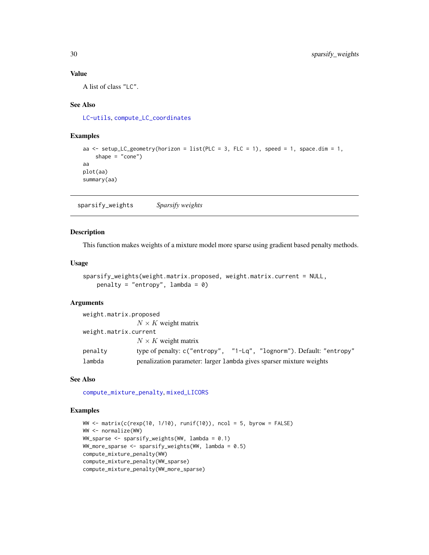### Value

A list of class "LC".

#### See Also

[LC-utils](#page-19-2), [compute\\_LC\\_coordinates](#page-4-1)

## Examples

```
aa <- setup_LC_geometry(horizon = list(PLC = 3, FLC = 1), speed = 1, space.dim = 1,
   shape = "cone")aa
plot(aa)
summary(aa)
```
<span id="page-29-1"></span>sparsify\_weights *Sparsify weights*

## Description

This function makes weights of a mixture model more sparse using gradient based penalty methods.

#### Usage

```
sparsify_weights(weight.matrix.proposed, weight.matrix.current = NULL,
   penalty = "entropy", lambda = 0)
```
#### Arguments

| weight.matrix.proposed |                                                                      |
|------------------------|----------------------------------------------------------------------|
|                        | $N \times K$ weight matrix                                           |
| weight.matrix.current  |                                                                      |
|                        | $N \times K$ weight matrix                                           |
| penalty                | type of penalty: c("entropy", "1-Lq", "lognorm"). Default: "entropy" |
| lambda                 | penalization parameter: larger 1 ambda gives sparser mixture weights |

#### See Also

[compute\\_mixture\\_penalty](#page-6-1), [mixed\\_LICORS](#page-21-1)

```
WW \le matrix(c(rexp(10, 1/10), runif(10)), ncol = 5, byrow = FALSE)
WW <- normalize(WW)
WW_sparse <- sparsify_weights(WW, lambda = 0.1)
WW_more_sparse \leq sparsify_weights(WW, lambda = 0.5)
compute_mixture_penalty(WW)
compute_mixture_penalty(WW_sparse)
compute_mixture_penalty(WW_more_sparse)
```
<span id="page-29-0"></span>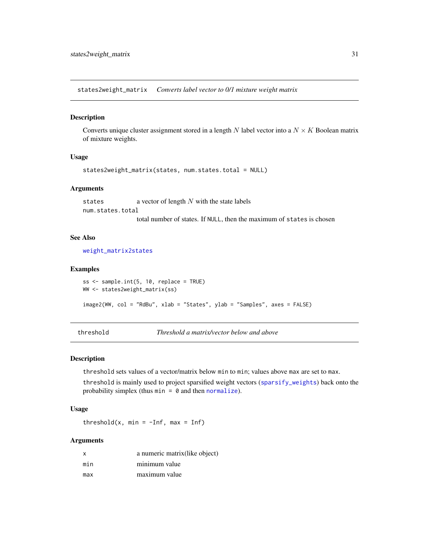<span id="page-30-2"></span><span id="page-30-0"></span>states2weight\_matrix *Converts label vector to 0/1 mixture weight matrix*

#### Description

Converts unique cluster assignment stored in a length N label vector into a  $N \times K$  Boolean matrix of mixture weights.

#### Usage

```
states2weight_matrix(states, num.states.total = NULL)
```
#### Arguments

states a vector of length N with the state labels num.states.total total number of states. If NULL, then the maximum of states is chosen

#### See Also

[weight\\_matrix2states](#page-31-1)

#### Examples

```
ss \leq sample.int(5, 10, replace = TRUE)
WW <- states2weight_matrix(ss)
image2(WW, col = "RdBu", xlab = "States", ylab = "Samples", axes = FALSE)
```
<span id="page-30-1"></span>threshold *Threshold a matrix/vector below and above*

## Description

threshold sets values of a vector/matrix below min to min; values above max are set to max.

threshold is mainly used to project sparsified weight vectors ([sparsify\\_weights](#page-29-1)) back onto the probability simplex (thus  $min = 0$  and then [normalize](#page-24-1)).

#### Usage

threshold(x, min =  $-Inf$ , max = Inf)

| X   | a numeric matrix (like object) |
|-----|--------------------------------|
| min | minimum value                  |
| max | maximum value                  |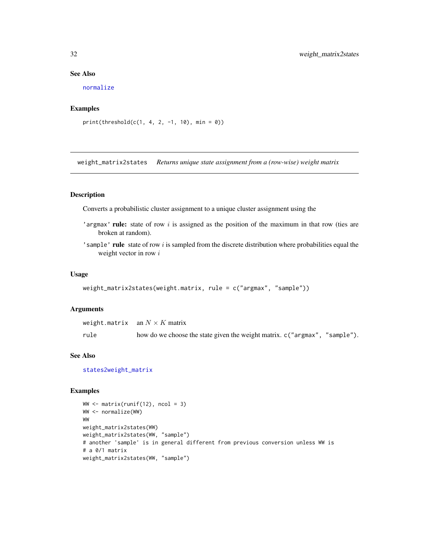### See Also

[normalize](#page-24-1)

## Examples

```
print(threshold(c(1, 4, 2, -1, 10), min = 0))
```
<span id="page-31-1"></span>weight\_matrix2states *Returns unique state assignment from a (row-wise) weight matrix*

## Description

Converts a probabilistic cluster assignment to a unique cluster assignment using the

- 'argmax' rule: state of row  $i$  is assigned as the position of the maximum in that row (ties are broken at random).
- 'sample' rule state of row  $i$  is sampled from the discrete distribution where probabilities equal the weight vector in row  $i$

#### Usage

```
weight_matrix2states(weight.matrix, rule = c("argmax", "sample"))
```
## Arguments

|      | weight.matrix $\quad$ an $N\times K$ matrix                                 |
|------|-----------------------------------------------------------------------------|
| rule | how do we choose the state given the weight matrix. c ("argmax", "sample"). |

## See Also

[states2weight\\_matrix](#page-30-2)

```
WW \leftarrow matrix(runif(12), ncol = 3)
WW <- normalize(WW)
WW
weight_matrix2states(WW)
weight_matrix2states(WW, "sample")
# another 'sample' is in general different from previous conversion unless WW is
# a 0/1 matrix
weight_matrix2states(WW, "sample")
```
<span id="page-31-0"></span>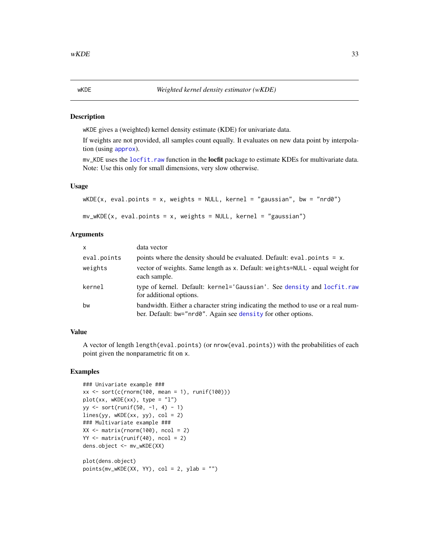#### <span id="page-32-1"></span><span id="page-32-0"></span>**Description**

wKDE gives a (weighted) kernel density estimate (KDE) for univariate data.

If weights are not provided, all samples count equally. It evaluates on new data point by interpolation (using [approx](#page-0-0)).

mv\_KDE uses the [locfit.raw](#page-0-0) function in the **locfit** package to estimate KDEs for multivariate data. Note: Use this only for small dimensions, very slow otherwise.

#### Usage

```
wKDE(x, eval.points = x, weights = NULL, kernal = "gaussian", bw = "nrd0")mv_wKDE(x, eval.points = x, weights = NULL, kernal = "gaussian")
```
## Arguments

| $\mathsf{x}$ | data vector                                                                                                                                       |
|--------------|---------------------------------------------------------------------------------------------------------------------------------------------------|
| eval.points  | points where the density should be evaluated. Default: $eval.points = x$ .                                                                        |
| weights      | vector of weights. Same length as x. Default: weights=NULL - equal weight for<br>each sample.                                                     |
| kernel       | type of kernel. Default: kernel='Gaussian'. See density and locfit.raw<br>for additional options.                                                 |
| bw           | bandwidth. Either a character string indicating the method to use or a real num-<br>ber. Default: bw="nrd0". Again see density for other options. |

## Value

A vector of length length(eval.points) (or nrow(eval.points)) with the probabilities of each point given the nonparametric fit on x.

```
### Univariate example ###
xx \le sort(c(rnorm(100, mean = 1), runif(100)))
plot(xx, wKDE(xx), type = "l")yy <- sort(runif(50, -1, 4) - 1)
lines(yy, wKDE(xx, yy), col = 2)### Multivariate example ###
XX \leq matrix(rnorm(100), ncol = 2)
YY < - matrix(runif(40), ncol = 2)
dens.object <- mv_wKDE(XX)
plot(dens.object)
points(mv_wKDE(XX, YY), col = 2, ylab = "")
```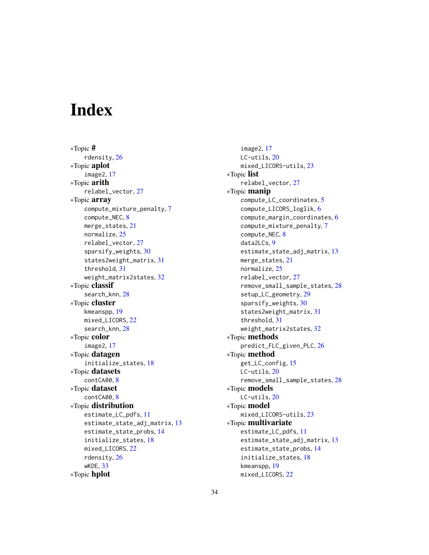# <span id="page-33-0"></span>**Index**

∗Topic # rdensity, [26](#page-25-0) ∗Topic aplot image2, [17](#page-16-0) ∗Topic arith relabel\_vector, [27](#page-26-0) ∗Topic array compute\_mixture\_penalty, [7](#page-6-0) compute\_NEC, [8](#page-7-0) merge\_states, [21](#page-20-0) normalize, [25](#page-24-0) relabel\_vector, [27](#page-26-0) sparsify\_weights, [30](#page-29-0) states2weight\_matrix, [31](#page-30-0) threshold, [31](#page-30-0) weight\_matrix2states, [32](#page-31-0) ∗Topic classif search\_knn, [28](#page-27-0) ∗Topic cluster kmeanspp, [19](#page-18-0) mixed\_LICORS, [22](#page-21-0) search\_knn, [28](#page-27-0) ∗Topic color image2, [17](#page-16-0) ∗Topic datagen initialize\_states, [18](#page-17-0) ∗Topic datasets contCA00, [8](#page-7-0) ∗Topic dataset contCA00, [8](#page-7-0) ∗Topic distribution estimate\_LC\_pdfs, [11](#page-10-0) estimate\_state\_adj\_matrix, [13](#page-12-0) estimate\_state\_probs, [14](#page-13-0) initialize\_states, [18](#page-17-0) mixed\_LICORS, [22](#page-21-0) rdensity, [26](#page-25-0) wKDE, [33](#page-32-0) ∗Topic hplot

image2, [17](#page-16-0) LC-utils, [20](#page-19-0) mixed\_LICORS-utils, [23](#page-22-0) ∗Topic list relabel\_vector, [27](#page-26-0) ∗Topic manip compute\_LC\_coordinates, [5](#page-4-0) compute\_LICORS\_loglik, [6](#page-5-0) compute\_margin\_coordinates, [6](#page-5-0) compute\_mixture\_penalty, [7](#page-6-0) compute\_NEC, [8](#page-7-0) data2LCs, [9](#page-8-0) estimate\_state\_adj\_matrix, [13](#page-12-0) merge\_states, [21](#page-20-0) normalize, [25](#page-24-0) relabel\_vector, [27](#page-26-0) remove\_small\_sample\_states, [28](#page-27-0) setup\_LC\_geometry, [29](#page-28-0) sparsify\_weights, [30](#page-29-0) states2weight\_matrix, [31](#page-30-0) threshold, [31](#page-30-0) weight\_matrix2states, [32](#page-31-0) ∗Topic methods predict\_FLC\_given\_PLC, [26](#page-25-0) ∗Topic method get\_LC\_config, [15](#page-14-0) LC-utils, [20](#page-19-0) remove\_small\_sample\_states, [28](#page-27-0) ∗Topic models LC-utils, [20](#page-19-0) ∗Topic model mixed\_LICORS-utils, [23](#page-22-0) ∗Topic multivariate estimate\_LC\_pdfs, [11](#page-10-0) estimate\_state\_adj\_matrix, [13](#page-12-0) estimate\_state\_probs, [14](#page-13-0) initialize\_states, [18](#page-17-0) kmeanspp, [19](#page-18-0) mixed\_LICORS, [22](#page-21-0)